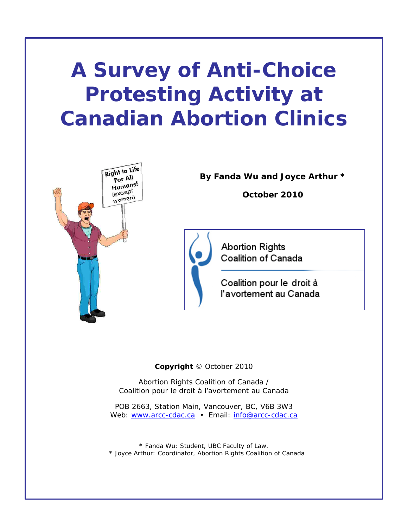# **A Survey of Anti-Choice Protesting Activity at Canadian Abortion Clinics**



**By Fanda Wu and Joyce Arthur \*** 

**October 2010** 



**Abortion Rights** Coalition of Canada

Coalition pour le droit à l'avortement au Canada

**Copyright** © October 2010

Abortion Rights Coalition of Canada / Coalition pour le droit à l'avortement au Canada

POB 2663, Station Main, Vancouver, BC, V6B 3W3 Web: www.arcc-cdac.ca · Email: info@arcc-cdac.ca

*\* Fanda Wu: Student, UBC Faculty of Law. \* Joyce Arthur: Coordinator, Abortion Rights Coalition of Canada*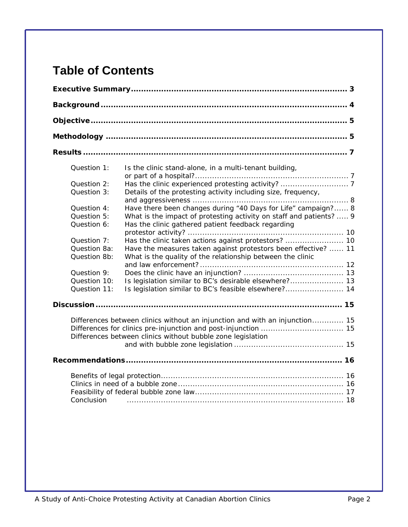# **Table of Contents**

| Question 1:<br>Question 2:<br>Question 3:<br>Question 4:<br>Question 5:<br>Question 6:<br>Question 7:<br>Question 8a:<br>Question 8b:<br>Question 9:<br>Question 10: | Is the clinic stand-alone, in a multi-tenant building,<br>Details of the protesting activity including size, frequency,<br>Have there been changes during "40 Days for Life" campaign? 8<br>What is the impact of protesting activity on staff and patients?  9<br>Has the clinic gathered patient feedback regarding<br>Have the measures taken against protestors been effective?  11<br>What is the quality of the relationship between the clinic<br>Is legislation similar to BC's desirable elsewhere? 13 |
|----------------------------------------------------------------------------------------------------------------------------------------------------------------------|-----------------------------------------------------------------------------------------------------------------------------------------------------------------------------------------------------------------------------------------------------------------------------------------------------------------------------------------------------------------------------------------------------------------------------------------------------------------------------------------------------------------|
| Question 11:                                                                                                                                                         | Is legislation similar to BC's feasible elsewhere? 14                                                                                                                                                                                                                                                                                                                                                                                                                                                           |
|                                                                                                                                                                      |                                                                                                                                                                                                                                                                                                                                                                                                                                                                                                                 |
|                                                                                                                                                                      | Differences between clinics without an injunction and with an injunction 15<br>Differences between clinics without bubble zone legislation                                                                                                                                                                                                                                                                                                                                                                      |
|                                                                                                                                                                      |                                                                                                                                                                                                                                                                                                                                                                                                                                                                                                                 |
| Conclusion                                                                                                                                                           |                                                                                                                                                                                                                                                                                                                                                                                                                                                                                                                 |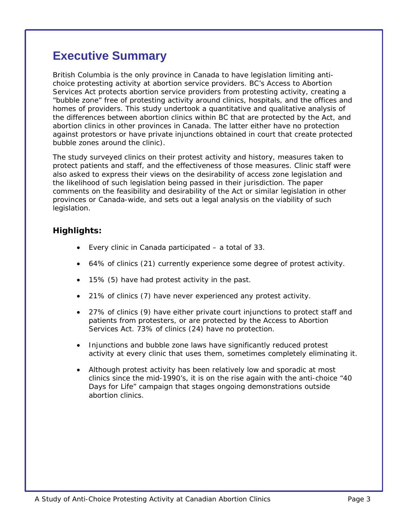### **Executive Summary**

British Columbia is the only province in Canada to have legislation limiting antichoice protesting activity at abortion service providers. BC's *Access to Abortion Services Act* protects abortion service providers from protesting activity, creating a "bubble zone" free of protesting activity around clinics, hospitals, and the offices and homes of providers. This study undertook a quantitative and qualitative analysis of the differences between abortion clinics within BC that are protected by the *Act*, and abortion clinics in other provinces in Canada. The latter either have no protection against protestors or have private injunctions obtained in court that create protected bubble zones around the clinic).

The study surveyed clinics on their protest activity and history, measures taken to protect patients and staff, and the effectiveness of those measures. Clinic staff were also asked to express their views on the desirability of access zone legislation and the likelihood of such legislation being passed in their jurisdiction. The paper comments on the feasibility and desirability of the *Act* or similar legislation in other provinces or Canada-wide, and sets out a legal analysis on the viability of such legislation.

#### *Highlights:*

- Every clinic in Canada participated a total of 33.
- 64% of clinics (21) currently experience some degree of protest activity.
- 15% (5) have had protest activity in the past.
- 21% of clinics (7) have never experienced any protest activity.
- 27% of clinics (9) have either private court injunctions to protect staff and patients from protesters, or are protected by the *Access to Abortion Services Act*. 73% of clinics (24) have no protection.
- Injunctions and bubble zone laws have significantly reduced protest activity at every clinic that uses them, sometimes completely eliminating it.
- Although protest activity has been relatively low and sporadic at most clinics since the mid-1990's, it is on the rise again with the anti-choice "40 Days for Life" campaign that stages ongoing demonstrations outside abortion clinics.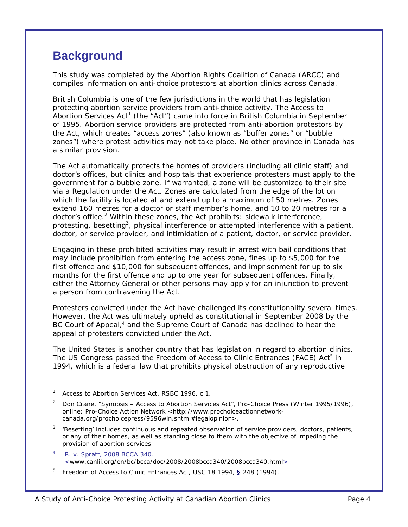# **Background**

This study was completed by the Abortion Rights Coalition of Canada (ARCC) and compiles information on anti-choice protestors at abortion clinics across Canada.

British Columbia is one of the few jurisdictions in the world that has legislation protecting abortion service providers from anti-choice activity. The *Access to .<br>Abortion Services Act*<sup>1</sup> (the "*Act*") came into force in British Columbia in September of 1995. Abortion service providers are protected from anti-abortion protestors by the *Act*, which creates "access zones" (also known as "buffer zones" or "bubble zones") where protest activities may not take place. No other province in Canada has a similar provision.

The *Act* automatically protects the homes of providers (including all clinic staff) and doctor's offices, but clinics and hospitals that experience protesters must apply to the government for a bubble zone. If warranted, a zone will be customized to their site via a Regulation under the *Act*. Zones are calculated from the edge of the lot on which the facility is located at and extend up to a maximum of 50 metres. Zones extend 160 metres for a doctor or staff member's home, and 10 to 20 metres for a doctor's office.<sup>2</sup> Within these zones, the Act prohibits: sidewalk interference, protesting, besetting<sup>3</sup>, physical interference or attempted interference with a patient, doctor, or service provider, and intimidation of a patient, doctor, or service provider.

Engaging in these prohibited activities may result in arrest with bail conditions that may include prohibition from entering the access zone, fines up to \$5,000 for the first offence and \$10,000 for subsequent offences, and imprisonment for up to six months for the first offence and up to one year for subsequent offences. Finally, either the Attorney General or other persons may apply for an injunction to prevent a person from contravening the *Act*.

Protesters convicted under the *Act* have challenged its constitutionality several times. However, the *Act* was ultimately upheld as constitutional in September 2008 by the BC Court of Appeal,<sup>4</sup> and the Supreme Court of Canada has declined to hear the appeal of protesters convicted under the *Act*.

The United States is another country that has legislation in regard to abortion clinics. The US Congress passed the *Freedom of Access to Clinic Entrances (FACE) Act5* in 1994, which is a federal law that prohibits physical obstruction of any reproductive

 $\overline{a}$ 

<sup>1</sup> Access to Abortion Services Act, RSBC 1996, c 1.

<sup>2</sup> Don Crane, "Synopsis – Access to Abortion Services Act", *Pro-Choice Press* (Winter 1995/1996), online: Pro-Choice Action Network <http://www.prochoiceactionnetworkcanada.org/prochoicepress/9596win.shtml#legalopinion>.

<sup>3</sup> 'Besetting' includes continuous and repeated observation of service providers, doctors, patients, or any of their homes, as well as standing close to them with the objective of impeding the provision of abortion services.

<sup>4</sup> R. v. Spratt, 2008 BCCA 340. <www.canlii.org/en/bc/bcca/doc/2008/2008bcca340/2008bcca340.html>

<sup>&</sup>lt;sup>5</sup> Freedom of Access to Clinic Entrances Act, USC 18 1994, § 248 (1994).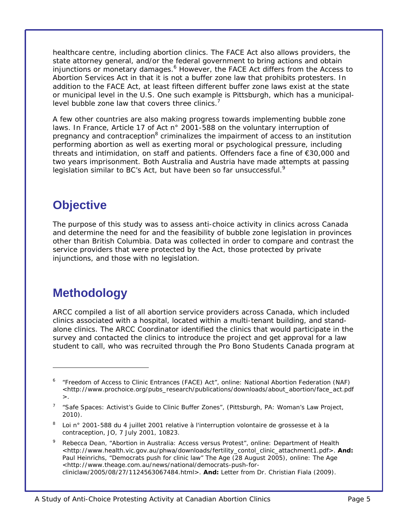healthcare centre, including abortion clinics. The *FACE Act* also allows providers, the state attorney general, and/or the federal government to bring actions and obtain injunctions or monetary damages.<sup>6</sup> However, the *FACE Act* differs from the *Access to Abortion Services Act* in that it is not a buffer zone law that prohibits protesters. In addition to the *FACE Act*, at least fifteen different buffer zone laws exist at the state or municipal level in the U.S. One such example is Pittsburgh, which has a municipallevel bubble zone law that covers three clinics. $<sup>7</sup>$ </sup>

A few other countries are also making progress towards implementing bubble zone laws. In France, Article 17 of *Act n° 2001-588 on the voluntary interruption of*  pregnancy and contraception<sup>8</sup> criminalizes the impairment of access to an institution performing abortion as well as exerting moral or psychological pressure, including threats and intimidation, on staff and patients. Offenders face a fine of €30,000 and two years imprisonment. Both Australia and Austria have made attempts at passing legislation similar to BC's *Act*, but have been so far unsuccessful.<sup>9</sup>

# **Objective**

The purpose of this study was to assess anti-choice activity in clinics across Canada and determine the need for and the feasibility of bubble zone legislation in provinces other than British Columbia. Data was collected in order to compare and contrast the service providers that were protected by the Act, those protected by private injunctions, and those with no legislation.

## **Methodology**

 $\overline{a}$ 

ARCC compiled a list of all abortion service providers across Canada, which included clinics associated with a hospital, located within a multi-tenant building, and standalone clinics. The ARCC Coordinator identified the clinics that would participate in the survey and contacted the clinics to introduce the project and get approval for a law student to call, who was recruited through the Pro Bono Students Canada program at

<sup>6</sup> "Freedom of Access to Clinic Entrances (FACE) Act", online: National Abortion Federation (NAF) <http://www.prochoice.org/pubs\_research/publications/downloads/about\_abortion/face\_act.pdf  $>$ .

<sup>7</sup> "Safe Spaces: Activist's Guide to Clinic Buffer Zones", (Pittsburgh, PA: Woman's Law Project, 2010).

<sup>8</sup> Loi n° 2001-588 du 4 juillet 2001 relative à l'interruption volontaire de grossesse et à la contraception, JO, 7 July 2001, 10823.

<sup>9</sup> Rebecca Dean, "Abortion in Australia: Access versus Protest", online: Department of Health <http://www.health.vic.gov.au/phwa/downloads/fertility\_contol\_clinic\_attachment1.pdf>. **And:** Paul Heinrichs, "Democrats push for clinic law" *The Age* (28 August 2005), online: The Age <http://www.theage.com.au/news/national/democrats-push-forcliniclaw/2005/08/27/1124563067484.html>. **And:** Letter from Dr. Christian Fiala (2009).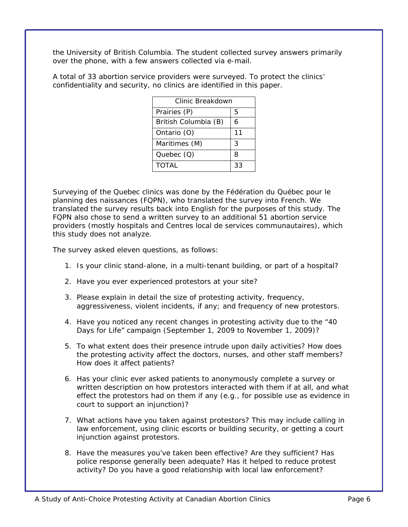the University of British Columbia. The student collected survey answers primarily over the phone, with a few answers collected via e-mail.

A total of 33 abortion service providers were surveyed. To protect the clinics' confidentiality and security, no clinics are identified in this paper.

| Clinic Breakdown     |    |
|----------------------|----|
| Prairies (P)         | 5  |
| British Columbia (B) | 6  |
| Ontario (O)          | 11 |
| Maritimes (M)        | 3  |
| Quebec $(Q)$         | 8  |
| <b>TOTAL</b>         | 33 |

Surveying of the Quebec clinics was done by the Fédération du Québec pour le planning des naissances (FQPN), who translated the survey into French. We translated the survey results back into English for the purposes of this study. The FQPN also chose to send a written survey to an additional 51 abortion service providers (mostly hospitals and *Centres local de services communautaires*), which this study does not analyze.

The survey asked eleven questions, as follows:

- 1. Is your clinic stand-alone, in a multi-tenant building, or part of a hospital?
- 2. Have you ever experienced protestors at your site?
- 3. Please explain in detail the size of protesting activity, frequency, aggressiveness, violent incidents, if any; and frequency of new protestors.
- 4. Have you noticed any recent changes in protesting activity due to the "40 Days for Life" campaign (September 1, 2009 to November 1, 2009)?
- 5. To what extent does their presence intrude upon daily activities? How does the protesting activity affect the doctors, nurses, and other staff members? How does it affect patients?
- 6. Has your clinic ever asked patients to anonymously complete a survey or written description on how protestors interacted with them if at all, and what effect the protestors had on them if any (e.g., for possible use as evidence in court to support an injunction)?
- 7. What actions have you taken against protestors? This may include calling in law enforcement, using clinic escorts or building security, or getting a court injunction against protestors.
- 8. Have the measures you've taken been effective? Are they sufficient? Has police response generally been adequate? Has it helped to reduce protest activity? Do you have a good relationship with local law enforcement?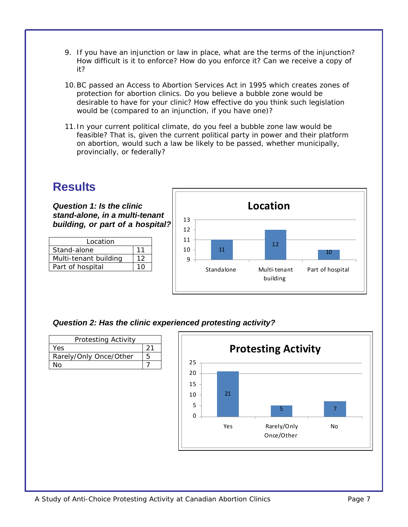- 9. If you have an injunction or law in place, what are the terms of the injunction? How difficult is it to enforce? How do you enforce it? Can we receive a copy of it?
- 10.BC passed an Access to Abortion Services Act in 1995 which creates zones of protection for abortion clinics. Do you believe a bubble zone would be desirable to have for your clinic? How effective do you think such legislation would be (compared to an injunction, if you have one)?
- 11.In your current political climate, do you feel a bubble zone law would be feasible? That is, given the current political party in power and their platform on abortion, would such a law be likely to be passed, whether municipally, provincially, or federally?

# **Results**

*Question 1: Is the clinic stand-alone, in a multi-tenant building, or part of a hospital?* 

| 12  |
|-----|
| 1 ∩ |
|     |



*Question 2: Has the clinic experienced protesting activity?* 

| <b>Protesting Activity</b> |   |
|----------------------------|---|
| Yes                        |   |
| Rarely/Only Once/Other     | Һ |
| N٥                         |   |

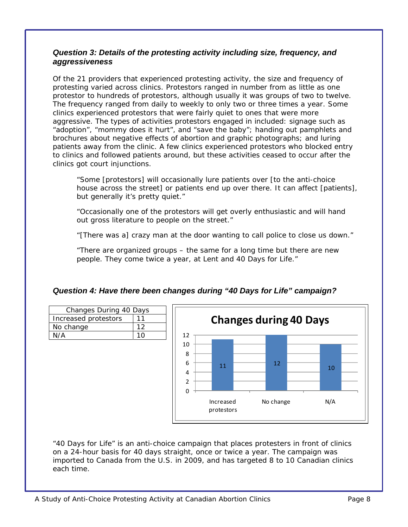#### *Question 3: Details of the protesting activity including size, frequency, and aggressiveness*

Of the 21 providers that experienced protesting activity, the size and frequency of protesting varied across clinics. Protestors ranged in number from as little as one protestor to hundreds of protestors, although usually it was groups of two to twelve. The frequency ranged from daily to weekly to only two or three times a year. Some clinics experienced protestors that were fairly quiet to ones that were more aggressive. The types of activities protestors engaged in included: signage such as "adoption", "mommy does it hurt", and "save the baby"; handing out pamphlets and brochures about negative effects of abortion and graphic photographs; and luring patients away from the clinic. A few clinics experienced protestors who blocked entry to clinics and followed patients around, but these activities ceased to occur after the clinics got court injunctions.

*"Some [protestors] will occasionally lure patients over [to the anti-choice house across the street] or patients end up over there. It can affect [patients], but generally it's pretty quiet."* 

*"Occasionally one of the protestors will get overly enthusiastic and will hand out gross literature to people on the street."* 

*"[There was a] crazy man at the door wanting to call police to close us down."* 

*"There are organized groups – the same for a long time but there are new people. They come twice a year, at Lent and 40 Days for Life."* 



#### *Question 4: Have there been changes during "40 Days for Life" campaign?*

"40 Days for Life" is an anti-choice campaign that places protesters in front of clinics on a 24-hour basis for 40 days straight, once or twice a year. The campaign was imported to Canada from the U.S. in 2009, and has targeted 8 to 10 Canadian clinics each time.

Changes During 40 Days Increased protestors | 11 No change 12 N/A 10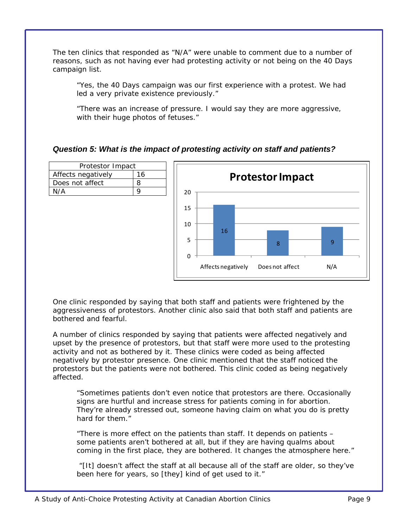The ten clinics that responded as "N/A" were unable to comment due to a number of reasons, such as not having ever had protesting activity or not being on the 40 Days campaign list.

*"Yes, the 40 Days campaign was our first experience with a protest. We had led a very private existence previously."* 

*"There was an increase of pressure. I would say they are more aggressive, with their huge photos of fetuses."* 

#### *Question 5: What is the impact of protesting activity on staff and patients?*



One clinic responded by saying that both staff and patients were frightened by the aggressiveness of protestors. Another clinic also said that both staff and patients are bothered and fearful.

A number of clinics responded by saying that patients were affected negatively and upset by the presence of protestors, but that staff were more used to the protesting activity and not as bothered by it. These clinics were coded as being affected negatively by protestor presence. One clinic mentioned that the staff noticed the protestors but the patients were not bothered. This clinic coded as being negatively affected.

*"Sometimes patients don't even notice that protestors are there. Occasionally signs are hurtful and increase stress for patients coming in for abortion. They're already stressed out, someone having claim on what you do is pretty hard for them."* 

*"There is more effect on the patients than staff. It depends on patients – some patients aren't bothered at all, but if they are having qualms about coming in the first place, they are bothered. It changes the atmosphere here."* 

 *"[It] doesn't affect the staff at all because all of the staff are older, so they've been here for years, so [they] kind of get used to it."*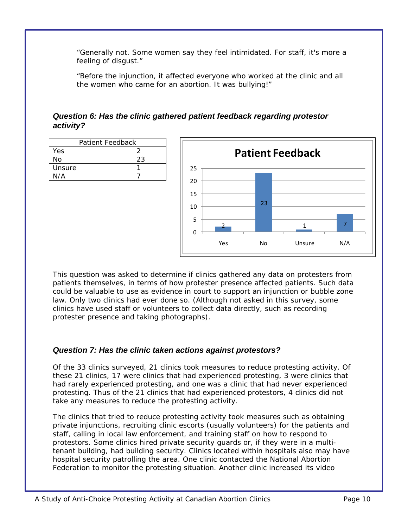*"Generally not. Some women say they feel intimidated. For staff, it's more a feeling of disgust."* 

*"Before the injunction, it affected everyone who worked at the clinic and all the women who came for an abortion. It was bullying!"* 

#### *Question 6: Has the clinic gathered patient feedback regarding protestor activity?*

| Patient Feedback |    |
|------------------|----|
| Yes              |    |
| N٥               | 23 |
| Unsure           |    |
| N/A              |    |
|                  |    |



This question was asked to determine if clinics gathered any data on protesters from patients themselves, in terms of how protester presence affected patients. Such data could be valuable to use as evidence in court to support an injunction or bubble zone law. Only two clinics had ever done so. (Although not asked in this survey, some clinics have used staff or volunteers to collect data directly, such as recording protester presence and taking photographs).

#### *Question 7: Has the clinic taken actions against protestors?*

Of the 33 clinics surveyed, 21 clinics took measures to reduce protesting activity. Of these 21 clinics, 17 were clinics that had experienced protesting, 3 were clinics that had rarely experienced protesting, and one was a clinic that had never experienced protesting. Thus of the 21 clinics that had experienced protestors, 4 clinics did not take any measures to reduce the protesting activity.

The clinics that tried to reduce protesting activity took measures such as obtaining private injunctions, recruiting clinic escorts (usually volunteers) for the patients and staff, calling in local law enforcement, and training staff on how to respond to protestors. Some clinics hired private security guards or, if they were in a multitenant building, had building security. Clinics located within hospitals also may have hospital security patrolling the area. One clinic contacted the National Abortion Federation to monitor the protesting situation. Another clinic increased its video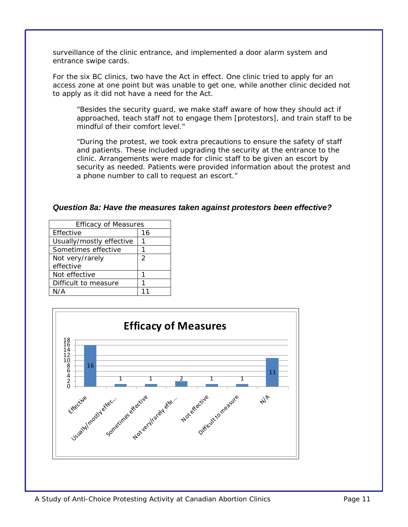surveillance of the clinic entrance, and implemented a door alarm system and entrance swipe cards.

For the six BC clinics, two have the *Act* in effect. One clinic tried to apply for an access zone at one point but was unable to get one, while another clinic decided not to apply as it did not have a need for the *Act*.

*"Besides the security guard, we make staff aware of how they should act if approached, teach staff not to engage them [protestors], and train staff to be mindful of their comfort level."* 

*"During the protest, we took extra precautions to ensure the safety of staff and patients. These included upgrading the security at the entrance to the clinic. Arrangements were made for clinic staff to be given an escort by security as needed. Patients were provided information about the protest and a phone number to call to request an escort."* 

#### *Question 8a: Have the measures taken against protestors been effective?*

| <b>Efficacy of Measures</b> |    |
|-----------------------------|----|
| Effective                   | 16 |
| Usually/mostly effective    |    |
| Sometimes effective         |    |
| Not very/rarely             | 2  |
| effective                   |    |
| Not effective               |    |
| Difficult to measure        |    |
| N/A                         |    |

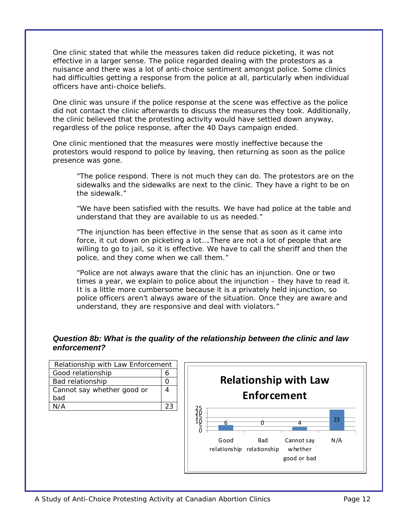One clinic stated that while the measures taken did reduce picketing, it was not effective in a larger sense. The police regarded dealing with the protestors as a nuisance and there was a lot of anti-choice sentiment amongst police. Some clinics had difficulties getting a response from the police at all, particularly when individual officers have anti-choice beliefs.

One clinic was unsure if the police response at the scene was effective as the police did not contact the clinic afterwards to discuss the measures they took. Additionally, the clinic believed that the protesting activity would have settled down anyway, regardless of the police response, after the 40 Days campaign ended.

One clinic mentioned that the measures were mostly ineffective because the protestors would respond to police by leaving, then returning as soon as the police presence was gone.

*"The police respond. There is not much they can do. The protestors are on the sidewalks and the sidewalks are next to the clinic. They have a right to be on the sidewalk."* 

*"We have been satisfied with the results. We have had police at the table and understand that they are available to us as needed."* 

*"The injunction has been effective in the sense that as soon as it came into force, it cut down on picketing a lot....There are not a lot of people that are willing to go to jail, so it is effective. We have to call the sheriff and then the police, and they come when we call them."* 

*"Police are not always aware that the clinic has an injunction. One or two times a year, we explain to police about the injunction – they have to read it. It is a little more cumbersome because it is a privately held injunction, so police officers aren't always aware of the situation. Once they are aware and understand, they are responsive and deal with violators."* 

#### *Question 8b: What is the quality of the relationship between the clinic and law enforcement?*

| Relationship with Law Enforcement |  |
|-----------------------------------|--|
| Good relationship                 |  |
| Bad relationship                  |  |
| Cannot say whether good or        |  |
| bad                               |  |
| N/A                               |  |
|                                   |  |

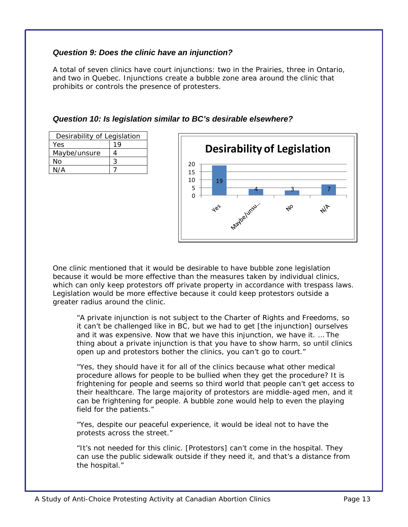#### *Question 9: Does the clinic have an injunction?*

A total of seven clinics have court injunctions: two in the Prairies, three in Ontario, and two in Quebec. Injunctions create a bubble zone area around the clinic that prohibits or controls the presence of protesters.

*Question 10: Is legislation similar to BC's desirable elsewhere?* 

| Desirability of Legislation |  |  |
|-----------------------------|--|--|
| Yes                         |  |  |
| Maybe/unsure                |  |  |
| No                          |  |  |
| N/A                         |  |  |
|                             |  |  |



One clinic mentioned that it would be desirable to have bubble zone legislation because it would be more effective than the measures taken by individual clinics, which can only keep protestors off private property in accordance with trespass laws. Legislation would be more effective because it could keep protestors outside a greater radius around the clinic.

*"A private injunction is not subject to the Charter of Rights and Freedoms, so it can't be challenged like in BC, but we had to get [the injunction] ourselves and it was expensive. Now that we have this injunction, we have it. … The thing about a private injunction is that you have to show harm, so until clinics open up and protestors bother the clinics, you can't go to court."* 

*"Yes, they should have it for all of the clinics because what other medical procedure allows for people to be bullied when they get the procedure? It is frightening for people and seems so third world that people can't get access to their healthcare. The large majority of protestors are middle-aged men, and it can be frightening for people. A bubble zone would help to even the playing field for the patients."* 

*"Yes, despite our peaceful experience, it would be ideal not to have the protests across the street."* 

*"It's not needed for this clinic. [Protestors] can't come in the hospital. They can use the public sidewalk outside if they need it, and that's a distance from the hospital."*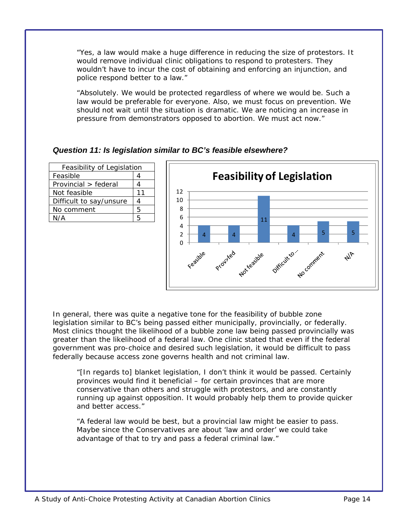*"Yes, a law would make a huge difference in reducing the size of protestors. It would remove individual clinic obligations to respond to protesters. They wouldn't have to incur the cost of obtaining and enforcing an injunction, and police respond better to a law."* 

*"Absolutely. We would be protected regardless of where we would be. Such a law would be preferable for everyone. Also, we must focus on prevention. We should not wait until the situation is dramatic. We are noticing an increase in pressure from demonstrators opposed to abortion. We must act now."* 

#### *Question 11: Is legislation similar to BC's feasible elsewhere?*

| Feasibility of Legislation |    |
|----------------------------|----|
| Feasible                   |    |
| Provincial > federal       |    |
| Not feasible               | 11 |
| Difficult to say/unsure    |    |
| No comment                 | 5  |
| N/A                        | ҕ  |



In general, there was quite a negative tone for the feasibility of bubble zone legislation similar to BC's being passed either municipally, provincially, or federally. Most clinics thought the likelihood of a bubble zone law being passed provincially was greater than the likelihood of a federal law. One clinic stated that even if the federal government was pro-choice and desired such legislation, it would be difficult to pass federally because access zone governs health and not criminal law.

*"[In regards to] blanket legislation, I don't think it would be passed. Certainly provinces would find it beneficial – for certain provinces that are more conservative than others and struggle with protestors, and are constantly running up against opposition. It would probably help them to provide quicker and better access."* 

*"A federal law would be best, but a provincial law might be easier to pass. Maybe since the Conservatives are about 'law and order' we could take advantage of that to try and pass a federal criminal law."*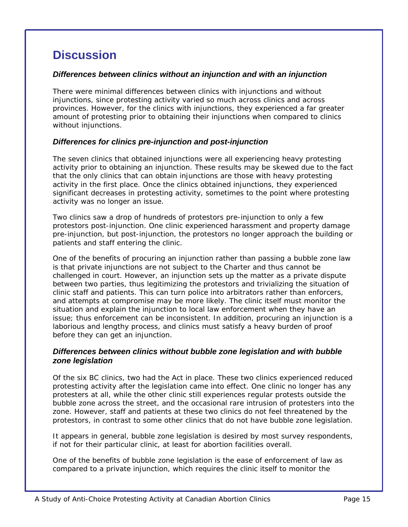# **Discussion**

#### *Differences between clinics without an injunction and with an injunction*

There were minimal differences between clinics with injunctions and without injunctions, since protesting activity varied so much across clinics and across provinces. However, for the clinics with injunctions, they experienced a far greater amount of protesting prior to obtaining their injunctions when compared to clinics without injunctions.

#### *Differences for clinics pre-injunction and post-injunction*

The seven clinics that obtained injunctions were all experiencing heavy protesting activity prior to obtaining an injunction. These results may be skewed due to the fact that the only clinics that can obtain injunctions are those with heavy protesting activity in the first place. Once the clinics obtained injunctions, they experienced significant decreases in protesting activity, sometimes to the point where protesting activity was no longer an issue.

Two clinics saw a drop of hundreds of protestors pre-injunction to only a few protestors post-injunction. One clinic experienced harassment and property damage pre-injunction, but post-injunction, the protestors no longer approach the building or patients and staff entering the clinic.

One of the benefits of procuring an injunction rather than passing a bubble zone law is that private injunctions are not subject to the Charter and thus cannot be challenged in court. However, an injunction sets up the matter as a private dispute between two parties, thus legitimizing the protestors and trivializing the situation of clinic staff and patients. This can turn police into arbitrators rather than enforcers, and attempts at compromise may be more likely. The clinic itself must monitor the situation and explain the injunction to local law enforcement when they have an issue; thus enforcement can be inconsistent. In addition, procuring an injunction is a laborious and lengthy process, and clinics must satisfy a heavy burden of proof before they can get an injunction.

#### *Differences between clinics without bubble zone legislation and with bubble zone legislation*

Of the six BC clinics, two had the *Act* in place. These two clinics experienced reduced protesting activity after the legislation came into effect. One clinic no longer has any protesters at all, while the other clinic still experiences regular protests outside the bubble zone across the street, and the occasional rare intrusion of protesters into the zone. However, staff and patients at these two clinics do not feel threatened by the protestors, in contrast to some other clinics that do not have bubble zone legislation.

It appears in general, bubble zone legislation is desired by most survey respondents, if not for their particular clinic, at least for abortion facilities overall.

One of the benefits of bubble zone legislation is the ease of enforcement of law as compared to a private injunction, which requires the clinic itself to monitor the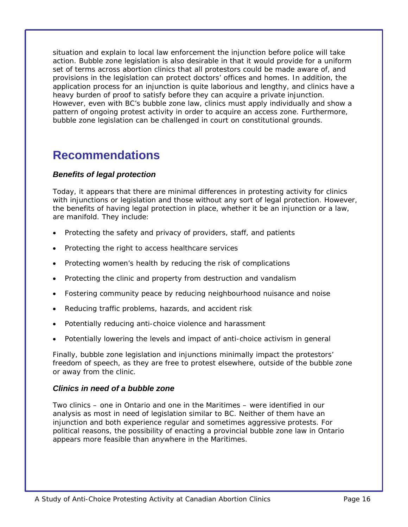situation and explain to local law enforcement the injunction before police will take action. Bubble zone legislation is also desirable in that it would provide for a uniform set of terms across abortion clinics that all protestors could be made aware of, and provisions in the legislation can protect doctors' offices and homes. In addition, the application process for an injunction is quite laborious and lengthy, and clinics have a heavy burden of proof to satisfy before they can acquire a private injunction. However, even with BC's bubble zone law, clinics must apply individually and show a pattern of ongoing protest activity in order to acquire an access zone. Furthermore, bubble zone legislation can be challenged in court on constitutional grounds.

## **Recommendations**

#### *Benefits of legal protection*

Today, it appears that there are minimal differences in protesting activity for clinics with injunctions or legislation and those without any sort of legal protection. However, the benefits of having legal protection in place, whether it be an injunction or a law, are manifold. They include:

- Protecting the safety and privacy of providers, staff, and patients
- Protecting the right to access healthcare services
- Protecting women's health by reducing the risk of complications
- Protecting the clinic and property from destruction and vandalism
- Fostering community peace by reducing neighbourhood nuisance and noise
- Reducing traffic problems, hazards, and accident risk
- Potentially reducing anti-choice violence and harassment
- Potentially lowering the levels and impact of anti-choice activism in general

Finally, bubble zone legislation and injunctions minimally impact the protestors' freedom of speech, as they are free to protest elsewhere, outside of the bubble zone or away from the clinic.

#### *Clinics in need of a bubble zone*

Two clinics – one in Ontario and one in the Maritimes – were identified in our analysis as most in need of legislation similar to BC. Neither of them have an injunction and both experience regular and sometimes aggressive protests. For political reasons, the possibility of enacting a provincial bubble zone law in Ontario appears more feasible than anywhere in the Maritimes.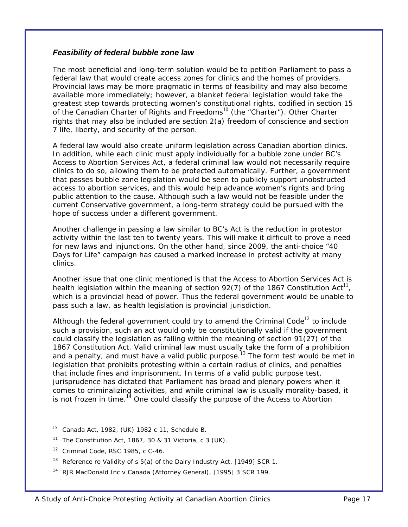#### *Feasibility of federal bubble zone law*

The most beneficial and long-term solution would be to petition Parliament to pass a federal law that would create access zones for clinics and the homes of providers. Provincial laws may be more pragmatic in terms of feasibility and may also become available more immediately; however, a blanket federal legislation would take the greatest step towards protecting women's constitutional rights, codified in section 15 of the *Canadian Charter of Rights and Freedoms*10 (the "*Charter*"). Other *Charter* rights that may also be included are section 2(a) freedom of conscience and section 7 life, liberty, and security of the person.

A federal law would also create uniform legislation across Canadian abortion clinics. In addition, while each clinic must apply individually for a bubble zone under BC's *Access to Abortion Services Act*, a federal criminal law would not necessarily require clinics to do so, allowing them to be protected automatically. Further, a government that passes bubble zone legislation would be seen to publicly support unobstructed access to abortion services, and this would help advance women's rights and bring public attention to the cause. Although such a law would not be feasible under the current Conservative government, a long-term strategy could be pursued with the hope of success under a different government.

Another challenge in passing a law similar to BC's *Act* is the reduction in protestor activity within the last ten to twenty years. This will make it difficult to prove a need for new laws and injunctions. On the other hand, since 2009, the anti-choice "40 Days for Life" campaign has caused a marked increase in protest activity at many clinics.

Another issue that one clinic mentioned is that the *Access to Abortion Services Act* is health legislation within the meaning of section 92(7) of the 1867 *Constitution Act*<sup>11</sup>, which is a provincial head of power. Thus the federal government would be unable to pass such a law, as health legislation is provincial jurisdiction.

Although the federal government could try to amend the *Criminal Code*<sup>12</sup> to include such a provision, such an act would only be constitutionally valid if the government could classify the legislation as falling within the meaning of section 91(27) of the 1867 *Constitution Act*. Valid criminal law must usually take the form of a prohibition and a penalty, and must have a valid public purpose.<sup>13</sup> The form test would be met in legislation that prohibits protesting within a certain radius of clinics, and penalties that include fines and imprisonment. In terms of a valid public purpose test, jurisprudence has dictated that Parliament has broad and plenary powers when it comes to criminalizing activities, and while criminal law is usually morality-based, it is not frozen in time.14 One could classify the purpose of the *Access to Abortion* 

 $\overline{a}$ 

<sup>10</sup> *Canada Act*, 1982, (UK) 1982 c 11, Schedule B.

<sup>11</sup> *The Constitution Act*, 1867, 30 & 31 Victoria, c 3 (UK).

<sup>12</sup> *Criminal Code*, RSC 1985, c C-46.

<sup>&</sup>lt;sup>13</sup> Reference re Validity of s  $5(a)$  of the Dairy Industry Act, [1949] SCR 1.

<sup>&</sup>lt;sup>14</sup> RJR MacDonald Inc v Canada (Attorney General), [1995] 3 SCR 199.